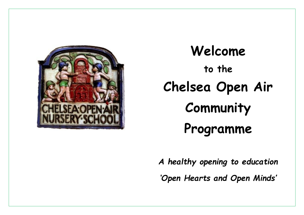

# **Welcome to the Chelsea Open Air Community Programme**

*A healthy opening to education 'Open Hearts and Open Minds'*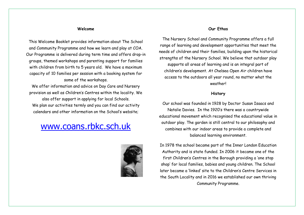#### **Welcome**

This Welcome Booklet provides information about The School and Community Programme and how we learn and play at COA. Our Programme is delivered during term time and offers drop-in groups, themed workshops and parenting support for families with children from birth to 5 years old. We have a maximum capacity of 10 families per session with a booking system for some of the workshops.

We offer information and advice on Day Care and Nursery provision as well as Children's Centres within the locality. We also offer support in applying for local Schools. We plan our activities termly and you can find our activity calendars and other information on the School's website;

## [www.coans.rbkc.sch.uk](http://www.coans.rbkc.sch.uk/)



#### **Our Ethos**

The Nursery School and Community Programme offers a full range of learning and development opportunities that meet the needs of children and their families, building upon the historical strengths of the Nursery School. We believe that outdoor play supports all areas of learning and is an integral part of children's development. At Chelsea Open Air children have access to the outdoors all year round, no matter what the weather!

#### **History**

Our school was founded in 1928 by Doctor Susan Isaacs and Natalie Davies. In the 1920's there was a countrywide educational movement which recognised the educational value in outdoor play. The garden is still central to our philosophy and combines with our indoor areas to provide a complete and balanced learning environment.

In 1978 the school became part of the Inner London Education Authority and is state funded. In 2006 it became one of the first Children's Centres in the Borough providing a 'one stop shop' for local families, babies and young children. The School later became a 'linked' site to the Children's Centre Services in the South Locality and in 2016 we established our own thriving Community Programme.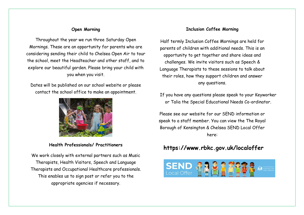#### **Open Morning**

Throughout the year we run three Saturday Open Mornings. These are an opportunity for parents who are considering sending their child to Chelsea Open Air to tour the school, meet the Headteacher and other staff, and to explore our beautiful garden. Please bring your child with you when you visit.

Dates will be published on our school website or please contact the school office to make an appointment.



**Health Professionals/ Practitioners**

We work closely with external partners such as Music Therapists, Health Visitors, Speech and Language Therapists and Occupational Healthcare professionals. This enables us to sign post or refer you to the appropriate agencies if necessary.

#### **Inclusion Coffee Morning**

Half termly Inclusion Coffee Mornings are held for parents of children with additional needs. This is an opportunity to get together and share ideas and challenges. We invite visitors such as Speech & Language Therapists to these sessions to talk about their roles, how they support children and answer any questions.

If you have any questions please speak to your Keyworker or Talia the Special Educational Needs Co-ordinator.

Please see our website for our SEND information or speak to a staff member. You can view the The Royal Borough of Kensington & Chelsea SEND Local Offer here:

### **<https://www.rbkc.gov.uk/localoffer>**

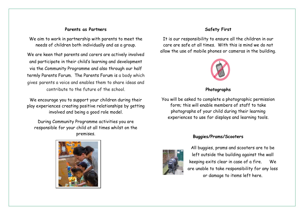#### **Parents as Partners**

We aim to work in partnership with parents to meet the needs of children both individually and as a group.

We are keen that parents and carers are actively involved and participate in their child's learning and development via the Community Programme and also through our half termly Parents Forum. The Parents Forum is a body which gives parents a voice and enables them to share ideas and contribute to the future of the school.

We encourage you to support your children during their play experiences creating positive relationships by getting involved and being a good role model.

During Community Programme activities you are responsible for your child at all times whilst on the premises.



#### **Safety First**

It is our responsibility to ensure all the children in our care are safe at all times. With this is mind we do not allow the use of mobile phones or cameras in the building.



#### **Photographs**

You will be asked to complete a photographic permission form; this will enable members of staff to take photographs of your child during their learning experiences to use for displays and learning tools.

#### **Buggies/Prams/Scooters**



All buggies, prams and scooters are to be left outside the building against the wall keeping exits clear in case of a fire.We are unable to take responsibility for any loss or damage to items left here.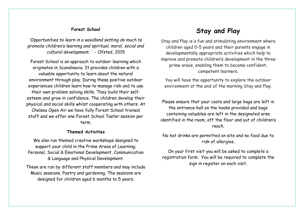#### **Forest School**

*'Opportunities to learn in a woodland setting do much to promote children's learning and spiritual, moral, social and cultural development. '* - Ofsted, 2015

Forest School is an approach to outdoor learning which originates in Scandinavia. It provides children with a valuable opportunity to learn about the natural environment through play. During these positive outdoor experiences children learn how to manage risk and to use their own problem solving skills. They build their selfesteem and grow in confidence. The children develop their physical and social skills whilst cooperating with others. At Chelsea Open Air we have fully Forest School trained staff and we offer one Forest School Taster session per term.

#### **Themed Activities**

We also run themed creative workshops designed to support your child in the Prime Areas of Learning; Personal, Social & Emotional Development, Communication & Language and Physical Development.

These are run by different staff members and may include Music sessions, Poetry and gardening. The sessions are designed for children aged 6 months to 5 years.

## **Stay and Play**

Stay and Play is a fun and stimulating environment where children aged 0-5 years and their parents engage in developmentally appropriate activities which help to improve and promote children's development in the three prime areas, enabling them to become confident, competent learners.

You will have the opportunity to explore the outdoor environment at the end of the morning Stay and Play.

Please ensure that your coats and large bags are left in the entrance hall on the hooks provided and bags containing valuables are left in the designated area identified in the room, off the floor and out of children's reach.

No hot drinks are permitted on site and no food due to risk of allergies.

On your first visit you will be asked to complete a registration form. You will be required to complete the sign in register on each visit.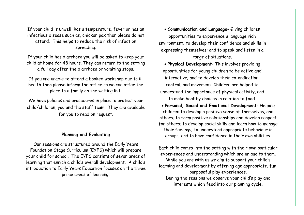If your child is unwell, has a temperature, fever or has an infectious disease such as, chicken pox then please do not attend. This helps to reduce the risk of infection spreading.

If your child has diarrhoea you will be asked to keep your child at home for 48 hours. They can return to the setting a full day after the diarrhoea or vomiting stops.

If you are unable to attend a booked workshop due to ill health then please inform the office so we can offer the place to a family on the waiting list.

We have policies and procedures in place to protect your child/children, you and the staff team. They are available for you to read on request.

#### **Planning and Evaluating**

Our sessions are structured around the Early Years Foundation Stage Curriculum (EYFS) which will prepare your child for school. The EYFS consists of seven areas of learning that enrich a child's overall development. A child's introduction to Early Years Education focuses on the three prime areas of learning;

• **Communication and Language**- Giving children opportunities to experience a language rich environment; to develop their confidence and skills in expressing themselves; and to speak and listen in a range of situations.

• **Physical Development**- This involves providing opportunities for young children to be active and interactive; and to develop their co-ordination, control, and movement. Children are helped to understand the importance of physical activity, and to make healthy choices in relation to food.

• **Personal, Social and Emotional Development**- Helping children to develop a positive sense of themselves, and others; to form positive relationships and develop respect for others; to develop social skills and learn how to manage their feelings; to understand appropriate behaviour in groups; and to have confidence in their own abilities.

Each child comes into the setting with their own particular experiences and understanding which are unique to them. While you are with us we aim to support your child's learning and development by offering age appropriate, fun, purposeful play experiences. During the sessions we observe your child's play and interests which feed into our planning cycle.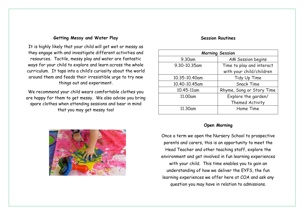#### **Getting Messy and Water Play**

It is highly likely that your child will get wet or messy as they engage with and investigate different activities and resources. Tactile, messy play and water are fantastic ways for your child to explore and learn across the whole curriculum. It taps into a child's curiosity about the world around them and feeds their irresistible urge to try new things out and experiment.

We recommend your child wears comfortable clothes you are happy for them to get messy. We also advise you bring spare clothes when attending sessions and bear in mind that you may get messy too!



#### **Session Routines**

| <b>Morning Session</b> |                           |
|------------------------|---------------------------|
| 9.30am                 | <b>AM Session begins</b>  |
| 9.30-10.35am           | Time to play and interact |
|                        | with your child/children  |
| 10.35-10.40am          | Tidy Up Time              |
| 10.40-10.45am          | <b>Snack Time</b>         |
| 10.45-11am             | Rhyme, Song or Story Time |
| 11.00am                | Explore the garden/       |
|                        | Themed Activity           |
| 11.30am                | Home Time                 |

#### **Open Morning**

Once a term we open the Nursery School to prospective parents and carers, this is an opportunity to meet the Head Teacher and other teaching staff, explore the environment and get involved in fun learning experiences with your child. This time enables you to gain an understanding of how we deliver the EYFS, the fun learning experiences we offer here at COA and ask any question you may have in relation to admissions.